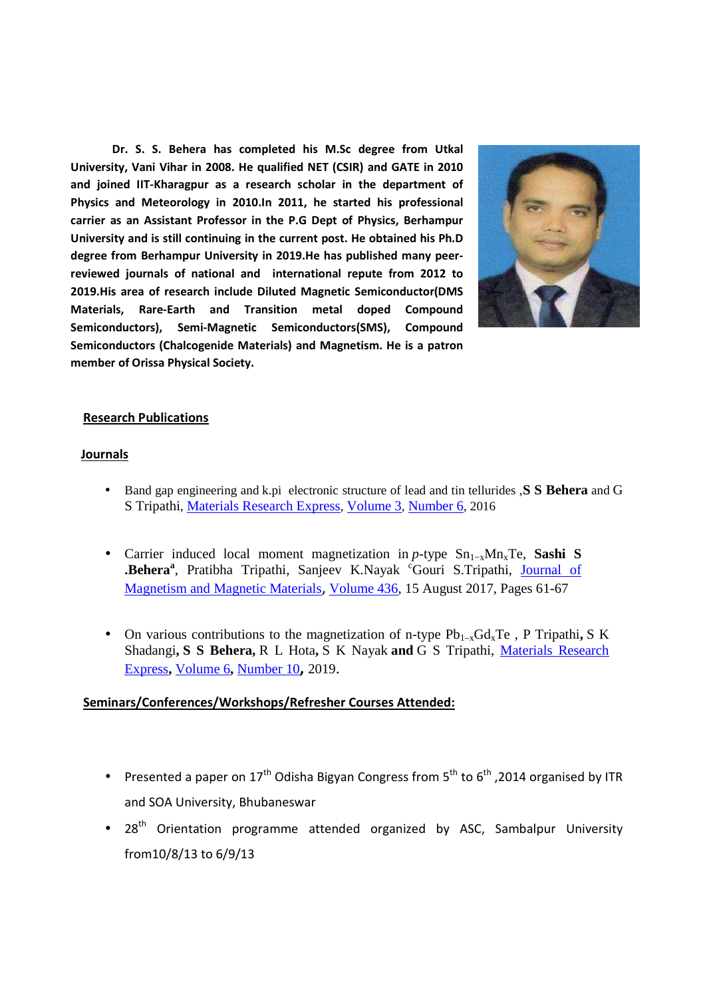**Dr. S. S. Behera has completed his M.Sc degree from Utkal University, Vani Vihar in 2008. He qualified NET (CSIR) and GATE in 2010 and joined IIT-Kharagpur as a research scholar in the department of Physics and Meteorology in 2010.In 2011, he started his professional carrier as an Assistant Professor in the P.G Dept of Physics, Berhampur University and is still continuing in the current post. He obtained his Ph.D degree from Berhampur University in 2019.He has published many peerreviewed journals of national and international repute from 2012 to 2019.His area of research include Diluted Magnetic Semiconductor(DMS Materials, Rare-Earth and Transition metal doped Compound Semiconductors), Semi-Magnetic Semiconductors(SMS), Compound Semiconductors (Chalcogenide Materials) and Magnetism. He is a patron member of Orissa Physical Society.**



## **Research Publications**

## **Journals**

- Band gap engineering and k.pi electronic structure of lead and tin tellurides ,**S S Behera** and G S Tripathi, Materials Research Express, Volume 3, Number 6, 2016
- Carrier induced local moment magnetization in *p*-type Sn<sub>1-x</sub>Mn<sub>x</sub>Te, Sashi S **.Behera**<sup>a</sup>, Pratibha Tripathi, Sanjeev K.Nayak <sup>c</sup>Gouri S.Tripathi, Journal of Magnetism and Magnetic Materials, Volume 436, 15 August 2017, Pages 61-67
- On various contributions to the magnetization of n-type  $Pb_{1-x}Gd_xTe$ , P Tripathi, S K Shadangi**, S S Behera,** R L Hota**,** S K Nayak **and** G S Tripathi, Materials Research Express**,** Volume 6**,** Number 10**,** 2019.

## **Seminars/Conferences/Workshops/Refresher Courses Attended:**

- Presented a paper on  $17<sup>th</sup>$  Odisha Bigyan Congress from  $5<sup>th</sup>$  to  $6<sup>th</sup>$ , 2014 organised by ITR and SOA University, Bhubaneswar
- $28<sup>th</sup>$  Orientation programme attended organized by ASC, Sambalpur University from10/8/13 to 6/9/13